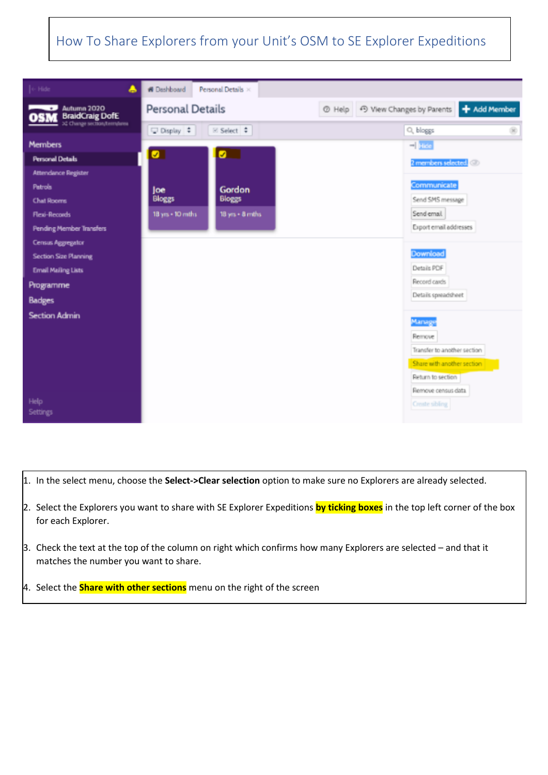

- 1. In the select menu, choose the **Select->Clear selection** option to make sure no Explorers are already selected.
- 2. Select the Explorers you want to share with SE Explorer Expeditions **by ticking boxes** in the top left corner of the box for each Explorer.
- 3. Check the text at the top of the column on right which confirms how many Explorers are selected and that it matches the number you want to share.
- 4. Select the **Share with other sections** menu on the right of the screen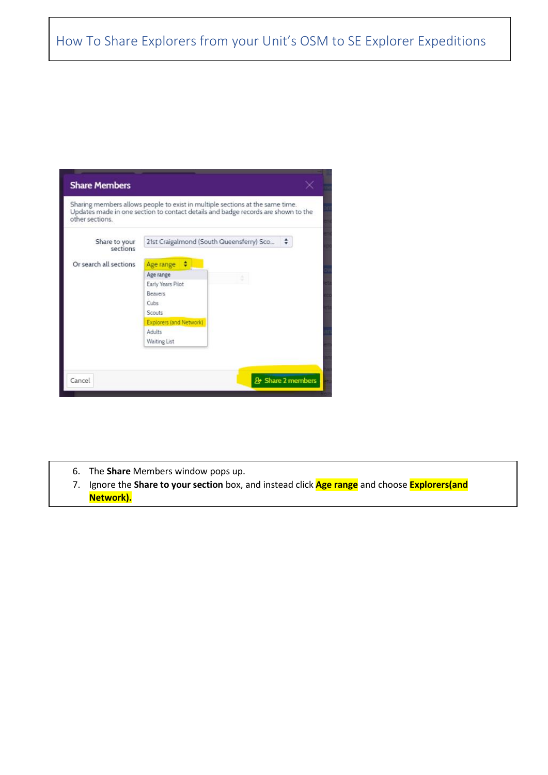| <b>Share Members</b>      |                                                                                                                                                                    |                   |
|---------------------------|--------------------------------------------------------------------------------------------------------------------------------------------------------------------|-------------------|
| other sections            | Sharing members allows people to exist in multiple sections at the same time.<br>Updates made in one section to contact details and badge records are shown to the |                   |
| Share to your<br>sections | 21st Craigalmond (South Queensferry) Sco $\div$                                                                                                                    |                   |
| Or search all sections    | Age range $\div$<br>Age range<br>Early Years Pilot<br><b>Beavers</b><br>Cubs<br>Scouts.<br>Explorers (and Network)<br>Adults<br><b>Waiting List</b>                |                   |
| Cancel                    |                                                                                                                                                                    | & Share 2 members |

- 6. The **Share** Members window pops up.
- 7. Ignore the **Share to your section** box, and instead click **Age range** and choose **Explorers(and Network).**

8. Finally click the **Share x Members** button at the bottom right of the screen.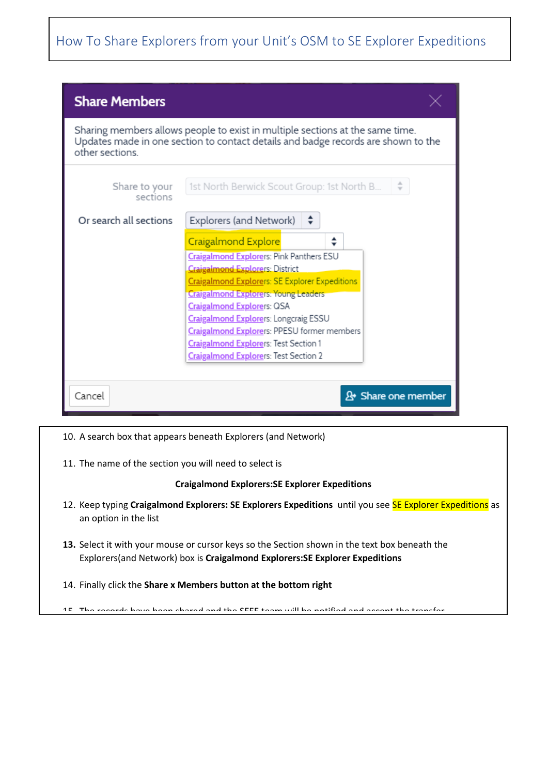| <b>Share Members</b>                                                                                                                                                                  |                                                                                                                                                                                                                                                                                                                                                                                                                                                                                |  |
|---------------------------------------------------------------------------------------------------------------------------------------------------------------------------------------|--------------------------------------------------------------------------------------------------------------------------------------------------------------------------------------------------------------------------------------------------------------------------------------------------------------------------------------------------------------------------------------------------------------------------------------------------------------------------------|--|
| Sharing members allows people to exist in multiple sections at the same time.<br>Updates made in one section to contact details and badge records are shown to the<br>other sections. |                                                                                                                                                                                                                                                                                                                                                                                                                                                                                |  |
| Share to your<br>sections                                                                                                                                                             | 1st North Berwick Scout Group: 1st North B                                                                                                                                                                                                                                                                                                                                                                                                                                     |  |
| Or search all sections                                                                                                                                                                | Explorers (and Network)<br>÷<br>Craigalmond Explore<br>Craigalmond Explorers: Pink Panthers ESU<br><b>Craigalmond Explorers: District</b><br><b>Craigalmond Explorers: SE Explorer Expeditions</b><br><b>Craigalmond Explorers: Young Leaders</b><br>Craigalmond Explorers: QSA<br><b>Craigalmond Explorers: Longcraig ESSU</b><br><b>Craigalmond Explorers: PPESU former members</b><br>Craigalmond Explorers: Test Section 1<br><b>Craigalmond Explorers: Test Section 2</b> |  |
| 2 <sup>→</sup> Share one member<br>Cancel                                                                                                                                             |                                                                                                                                                                                                                                                                                                                                                                                                                                                                                |  |

- 10. A search box that appears beneath Explorers (and Network)
- 11. The name of the section you will need to select is

#### **Craigalmond Explorers:SE Explorer Expeditions**

- 12. Keep typing **Craigalmond Explorers: SE Explorers Expeditions** until you see SE Explorer Expeditions as an option in the list
- **13.** Select it with your mouse or cursor keys so the Section shown in the text box beneath the Explorers(and Network) box is **Craigalmond Explorers:SE Explorer Expeditions**
- 14. Finally click the **Share x Members button at the bottom right**

15. The records have been shared and the SEEE team will be notified and accept the transfer.